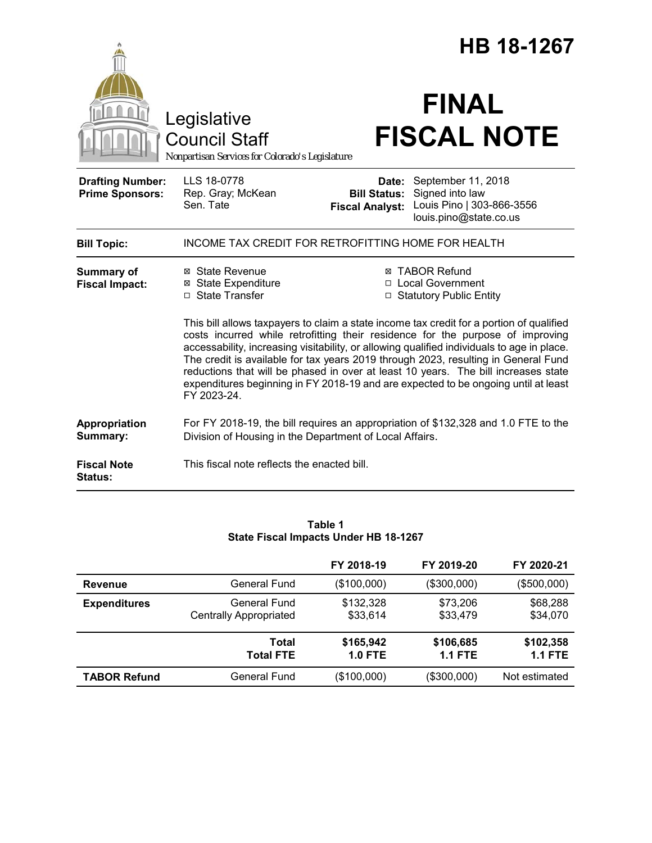|                                                   |                                                                                                                                                                                                                                                                                                                                                                                                                                                                                                                                                           | HB 18-1267                                                        |                                                                                              |  |
|---------------------------------------------------|-----------------------------------------------------------------------------------------------------------------------------------------------------------------------------------------------------------------------------------------------------------------------------------------------------------------------------------------------------------------------------------------------------------------------------------------------------------------------------------------------------------------------------------------------------------|-------------------------------------------------------------------|----------------------------------------------------------------------------------------------|--|
|                                                   | Legislative<br><b>Council Staff</b><br>Nonpartisan Services for Colorado's Legislature                                                                                                                                                                                                                                                                                                                                                                                                                                                                    |                                                                   | <b>FINAL</b><br><b>FISCAL NOTE</b>                                                           |  |
| <b>Drafting Number:</b><br><b>Prime Sponsors:</b> | LLS 18-0778<br>Rep. Gray; McKean<br>Sen. Tate                                                                                                                                                                                                                                                                                                                                                                                                                                                                                                             | Date:<br><b>Bill Status:</b><br><b>Fiscal Analyst:</b>            | September 11, 2018<br>Signed into law<br>Louis Pino   303-866-3556<br>louis.pino@state.co.us |  |
| <b>Bill Topic:</b>                                | INCOME TAX CREDIT FOR RETROFITTING HOME FOR HEALTH                                                                                                                                                                                                                                                                                                                                                                                                                                                                                                        |                                                                   |                                                                                              |  |
| <b>Summary of</b><br><b>Fiscal Impact:</b>        | ⊠ State Revenue<br><b>⊠ State Expenditure</b><br>□ State Transfer                                                                                                                                                                                                                                                                                                                                                                                                                                                                                         | ⊠ TABOR Refund<br>□ Local Government<br>□ Statutory Public Entity |                                                                                              |  |
|                                                   | This bill allows taxpayers to claim a state income tax credit for a portion of qualified<br>costs incurred while retrofitting their residence for the purpose of improving<br>accessability, increasing visitability, or allowing qualified individuals to age in place.<br>The credit is available for tax years 2019 through 2023, resulting in General Fund<br>reductions that will be phased in over at least 10 years. The bill increases state<br>expenditures beginning in FY 2018-19 and are expected to be ongoing until at least<br>FY 2023-24. |                                                                   |                                                                                              |  |
| Appropriation<br>Summary:                         | For FY 2018-19, the bill requires an appropriation of \$132,328 and 1.0 FTE to the<br>Division of Housing in the Department of Local Affairs.                                                                                                                                                                                                                                                                                                                                                                                                             |                                                                   |                                                                                              |  |
| <b>Fiscal Note</b><br>Status:                     | This fiscal note reflects the enacted bill.                                                                                                                                                                                                                                                                                                                                                                                                                                                                                                               |                                                                   |                                                                                              |  |

## **Table 1 State Fiscal Impacts Under HB 18-1267**

|                     |                                               | FY 2018-19             | FY 2019-20                  | FY 2020-21                  |
|---------------------|-----------------------------------------------|------------------------|-----------------------------|-----------------------------|
| <b>Revenue</b>      | General Fund                                  | (\$100,000)            | (\$300,000)                 | (\$500,000)                 |
| <b>Expenditures</b> | General Fund<br><b>Centrally Appropriated</b> | \$132,328<br>\$33,614  | \$73,206<br>\$33,479        | \$68,288<br>\$34,070        |
|                     | Total<br><b>Total FTE</b>                     | \$165,942<br>$1.0$ FTE | \$106,685<br><b>1.1 FTE</b> | \$102,358<br><b>1.1 FTE</b> |
| <b>TABOR Refund</b> | General Fund                                  | (\$100,000)            | (\$300,000)                 | Not estimated               |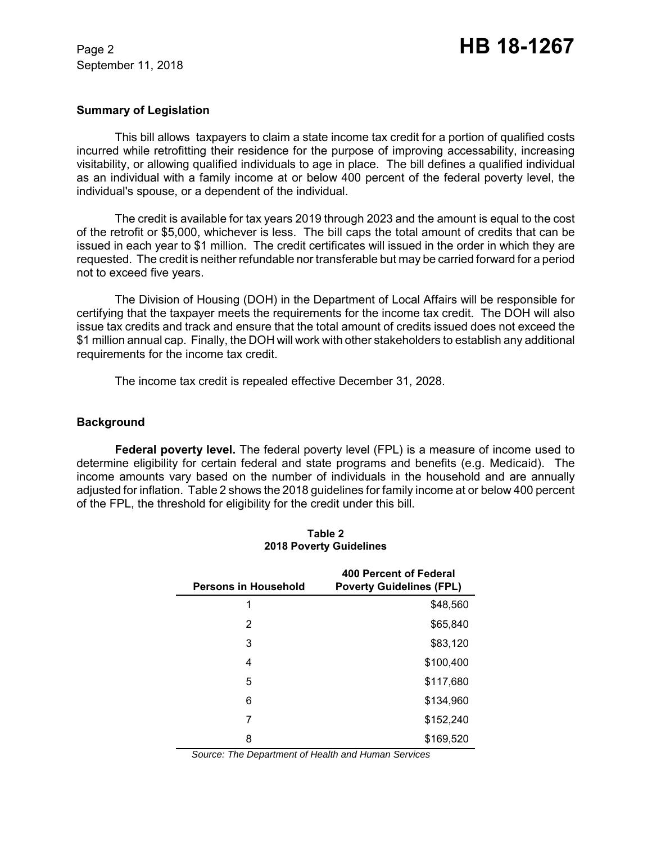### **Summary of Legislation**

This bill allows taxpayers to claim a state income tax credit for a portion of qualified costs incurred while retrofitting their residence for the purpose of improving accessability, increasing visitability, or allowing qualified individuals to age in place. The bill defines a qualified individual as an individual with a family income at or below 400 percent of the federal poverty level, the individual's spouse, or a dependent of the individual.

The credit is available for tax years 2019 through 2023 and the amount is equal to the cost of the retrofit or \$5,000, whichever is less. The bill caps the total amount of credits that can be issued in each year to \$1 million. The credit certificates will issued in the order in which they are requested. The credit is neither refundable nor transferable but may be carried forward for a period not to exceed five years.

The Division of Housing (DOH) in the Department of Local Affairs will be responsible for certifying that the taxpayer meets the requirements for the income tax credit. The DOH will also issue tax credits and track and ensure that the total amount of credits issued does not exceed the \$1 million annual cap. Finally, the DOH will work with other stakeholders to establish any additional requirements for the income tax credit.

The income tax credit is repealed effective December 31, 2028.

#### **Background**

**Federal poverty level.** The federal poverty level (FPL) is a measure of income used to determine eligibility for certain federal and state programs and benefits (e.g. Medicaid). The income amounts vary based on the number of individuals in the household and are annually adjusted for inflation. Table 2 shows the 2018 guidelines for family income at or below 400 percent of the FPL, the threshold for eligibility for the credit under this bill.

| <b>Persons in Household</b> | 400 Percent of Federal<br><b>Poverty Guidelines (FPL)</b> |
|-----------------------------|-----------------------------------------------------------|
| 1                           | \$48,560                                                  |
| 2                           | \$65,840                                                  |
| 3                           | \$83,120                                                  |
| 4                           | \$100,400                                                 |
| 5                           | \$117,680                                                 |
| 6                           | \$134,960                                                 |
| 7                           | \$152,240                                                 |
| 8                           | \$169,520                                                 |

#### **Table 2 2018 Poverty Guidelines**

*Source: The Department of Health and Human Services*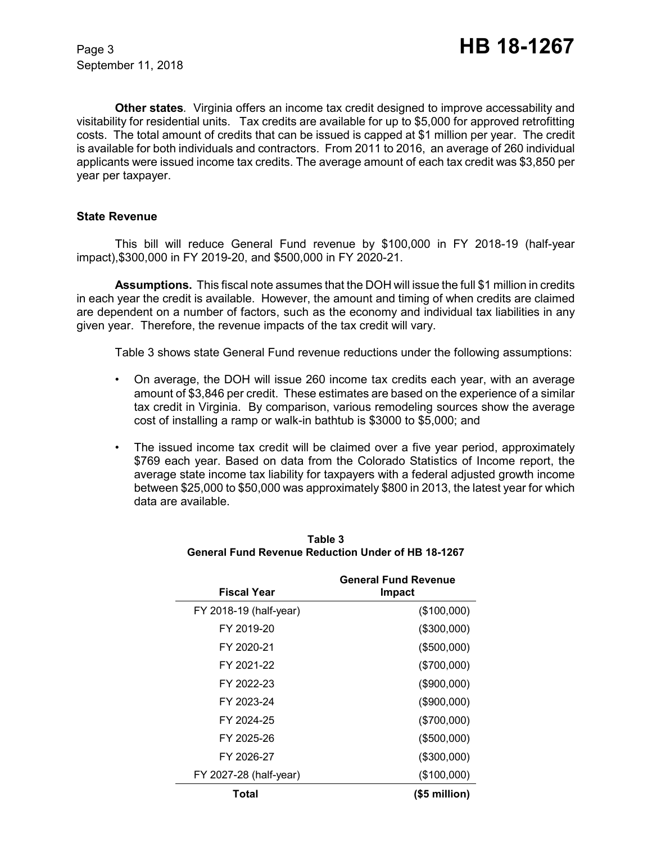**Other states***.* Virginia offers an income tax credit designed to improve accessability and visitability for residential units. Tax credits are available for up to \$5,000 for approved retrofitting costs. The total amount of credits that can be issued is capped at \$1 million per year. The credit is available for both individuals and contractors. From 2011 to 2016, an average of 260 individual applicants were issued income tax credits. The average amount of each tax credit was \$3,850 per year per taxpayer.

## **State Revenue**

This bill will reduce General Fund revenue by \$100,000 in FY 2018-19 (half-year impact),\$300,000 in FY 2019-20, and \$500,000 in FY 2020-21.

**Assumptions.** This fiscal note assumes that the DOH will issue the full \$1 million in credits in each year the credit is available. However, the amount and timing of when credits are claimed are dependent on a number of factors, such as the economy and individual tax liabilities in any given year. Therefore, the revenue impacts of the tax credit will vary.

Table 3 shows state General Fund revenue reductions under the following assumptions:

- On average, the DOH will issue 260 income tax credits each year, with an average amount of \$3,846 per credit. These estimates are based on the experience of a similar tax credit in Virginia. By comparison, various remodeling sources show the average cost of installing a ramp or walk-in bathtub is \$3000 to \$5,000; and
- The issued income tax credit will be claimed over a five year period, approximately \$769 each year. Based on data from the Colorado Statistics of Income report, the average state income tax liability for taxpayers with a federal adjusted growth income between \$25,000 to \$50,000 was approximately \$800 in 2013, the latest year for which data are available.

| <b>Fiscal Year</b>     | <b>General Fund Revenue</b><br>Impact |  |
|------------------------|---------------------------------------|--|
| FY 2018-19 (half-year) | (\$100,000)                           |  |
| FY 2019-20             | (\$300,000)                           |  |
| FY 2020-21             | (\$500,000)                           |  |
| FY 2021-22             | (\$700,000)                           |  |
| FY 2022-23             | (\$900,000)                           |  |
| FY 2023-24             | (\$900,000)                           |  |
| FY 2024-25             | (\$700,000)                           |  |
| FY 2025-26             | (\$500,000)                           |  |
| FY 2026-27             | (\$300,000)                           |  |
| FY 2027-28 (half-year) | (\$100,000)                           |  |
| Total                  | $($5$ million $)$                     |  |

#### **Table 3 General Fund Revenue Reduction Under of HB 18-1267**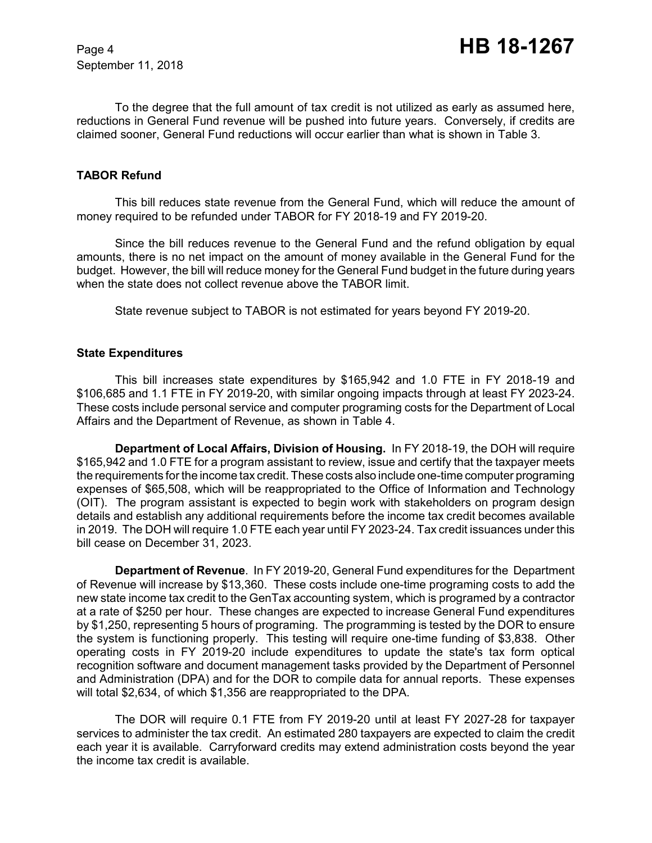To the degree that the full amount of tax credit is not utilized as early as assumed here, reductions in General Fund revenue will be pushed into future years. Conversely, if credits are claimed sooner, General Fund reductions will occur earlier than what is shown in Table 3.

## **TABOR Refund**

This bill reduces state revenue from the General Fund, which will reduce the amount of money required to be refunded under TABOR for FY 2018-19 and FY 2019-20.

Since the bill reduces revenue to the General Fund and the refund obligation by equal amounts, there is no net impact on the amount of money available in the General Fund for the budget. However, the bill will reduce money for the General Fund budget in the future during years when the state does not collect revenue above the TABOR limit.

State revenue subject to TABOR is not estimated for years beyond FY 2019-20.

## **State Expenditures**

This bill increases state expenditures by \$165,942 and 1.0 FTE in FY 2018-19 and \$106,685 and 1.1 FTE in FY 2019-20, with similar ongoing impacts through at least FY 2023-24. These costs include personal service and computer programing costs for the Department of Local Affairs and the Department of Revenue, as shown in Table 4.

**Department of Local Affairs, Division of Housing.** In FY 2018-19, the DOH will require \$165,942 and 1.0 FTE for a program assistant to review, issue and certify that the taxpayer meets the requirements for the income tax credit. These costs also include one-time computer programing expenses of \$65,508, which will be reappropriated to the Office of Information and Technology (OIT). The program assistant is expected to begin work with stakeholders on program design details and establish any additional requirements before the income tax credit becomes available in 2019. The DOH will require 1.0 FTE each year until FY 2023-24. Tax credit issuances under this bill cease on December 31, 2023.

**Department of Revenue**. In FY 2019-20, General Fund expenditures for the Department of Revenue will increase by \$13,360. These costs include one-time programing costs to add the new state income tax credit to the GenTax accounting system, which is programed by a contractor at a rate of \$250 per hour. These changes are expected to increase General Fund expenditures by \$1,250, representing 5 hours of programing. The programming is tested by the DOR to ensure the system is functioning properly. This testing will require one-time funding of \$3,838. Other operating costs in FY 2019-20 include expenditures to update the state's tax form optical recognition software and document management tasks provided by the Department of Personnel and Administration (DPA) and for the DOR to compile data for annual reports. These expenses will total \$2,634, of which \$1,356 are reappropriated to the DPA.

The DOR will require 0.1 FTE from FY 2019-20 until at least FY 2027-28 for taxpayer services to administer the tax credit. An estimated 280 taxpayers are expected to claim the credit each year it is available. Carryforward credits may extend administration costs beyond the year the income tax credit is available.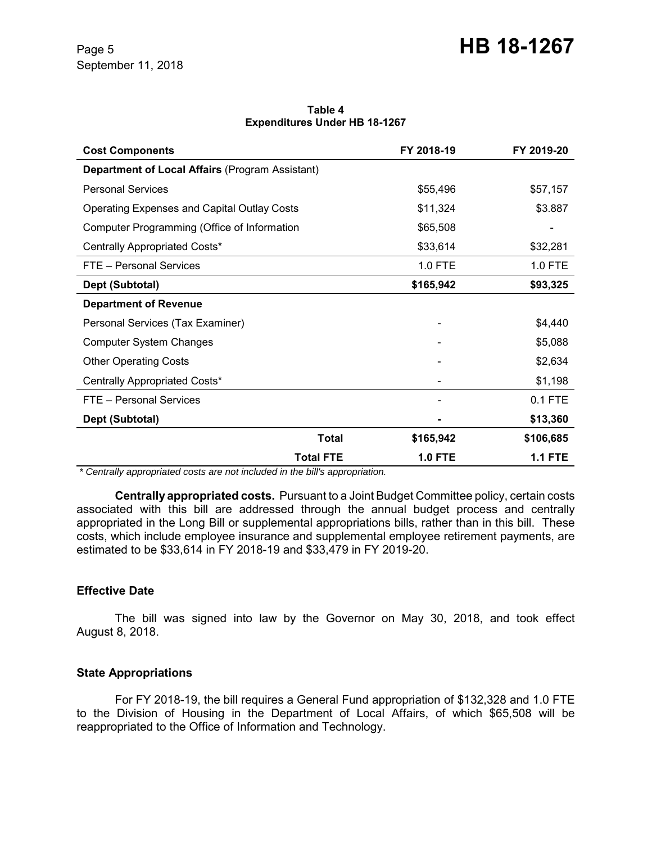#### **Table 4 Expenditures Under HB 18-1267**

| <b>Cost Components</b>                             | FY 2018-19     | FY 2019-20     |
|----------------------------------------------------|----------------|----------------|
| Department of Local Affairs (Program Assistant)    |                |                |
| <b>Personal Services</b>                           | \$55,496       | \$57,157       |
| <b>Operating Expenses and Capital Outlay Costs</b> | \$11,324       | \$3.887        |
| Computer Programming (Office of Information        | \$65,508       |                |
| Centrally Appropriated Costs*                      | \$33,614       | \$32,281       |
| FTE - Personal Services                            | 1.0 FTE        | 1.0 FTE        |
| Dept (Subtotal)                                    | \$165,942      | \$93,325       |
| <b>Department of Revenue</b>                       |                |                |
| Personal Services (Tax Examiner)                   |                | \$4,440        |
| <b>Computer System Changes</b>                     |                | \$5,088        |
| <b>Other Operating Costs</b>                       |                | \$2,634        |
| Centrally Appropriated Costs*                      |                | \$1,198        |
| FTE - Personal Services                            |                | $0.1$ FTE      |
| Dept (Subtotal)                                    |                | \$13,360       |
| <b>Total</b>                                       | \$165,942      | \$106,685      |
| <b>Total FTE</b>                                   | <b>1.0 FTE</b> | <b>1.1 FTE</b> |

 *\* Centrally appropriated costs are not included in the bill's appropriation.*

**Centrally appropriated costs.** Pursuant to a Joint Budget Committee policy, certain costs associated with this bill are addressed through the annual budget process and centrally appropriated in the Long Bill or supplemental appropriations bills, rather than in this bill. These costs, which include employee insurance and supplemental employee retirement payments, are estimated to be \$33,614 in FY 2018-19 and \$33,479 in FY 2019-20.

# **Effective Date**

The bill was signed into law by the Governor on May 30, 2018, and took effect August 8, 2018.

# **State Appropriations**

For FY 2018-19, the bill requires a General Fund appropriation of \$132,328 and 1.0 FTE to the Division of Housing in the Department of Local Affairs, of which \$65,508 will be reappropriated to the Office of Information and Technology.